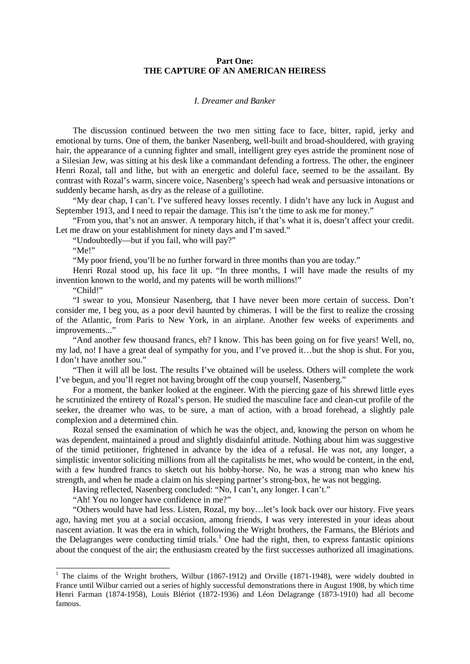## **Part One: THE CAPTURE OF AN AMERICAN HEIRESS**

## *I. Dreamer and Banker*

The discussion continued between the two men sitting face to face, bitter, rapid, jerky and emotional by turns. One of them, the banker Nasenberg, well-built and broad-shouldered, with graying hair, the appearance of a cunning fighter and small, intelligent grey eyes astride the prominent nose of a Silesian Jew, was sitting at his desk like a commandant defending a fortress. The other, the engineer Henri Rozal, tall and lithe, but with an energetic and doleful face, seemed to be the assailant. By contrast with Rozal's warm, sincere voice, Nasenberg's speech had weak and persuasive intonations or suddenly became harsh, as dry as the release of a guillotine.

"My dear chap, I can't. I've suffered heavy losses recently. I didn't have any luck in August and September 1913, and I need to repair the damage. This isn't the time to ask me for money."

"From you, that's not an answer. A temporary hitch, if that's what it is, doesn't affect your credit. Let me draw on your establishment for ninety days and I'm saved."

"Undoubtedly—but if you fail, who will pay?"

"Me!"

"My poor friend, you'll be no further forward in three months than you are today."

Henri Rozal stood up, his face lit up. "In three months, I will have made the results of my invention known to the world, and my patents will be worth millions!"

"Child!"

"I swear to you, Monsieur Nasenberg, that I have never been more certain of success. Don't consider me, I beg you, as a poor devil haunted by chimeras. I will be the first to realize the crossing of the Atlantic, from Paris to New York, in an airplane. Another few weeks of experiments and improvements..."

"And another few thousand francs, eh? I know. This has been going on for five years! Well, no, my lad, no! I have a great deal of sympathy for you, and I've proved it…but the shop is shut. For you, I don't have another sou."

"Then it will all be lost. The results I've obtained will be useless. Others will complete the work I've begun, and you'll regret not having brought off the coup yourself, Nasenberg."

For a moment, the banker looked at the engineer. With the piercing gaze of his shrewd little eyes he scrutinized the entirety of Rozal's person. He studied the masculine face and clean-cut profile of the seeker, the dreamer who was, to be sure, a man of action, with a broad forehead, a slightly pale complexion and a determined chin.

Rozal sensed the examination of which he was the object, and, knowing the person on whom he was dependent, maintained a proud and slightly disdainful attitude. Nothing about him was suggestive of the timid petitioner, frightened in advance by the idea of a refusal. He was not, any longer, a simplistic inventor soliciting millions from all the capitalists he met, who would be content, in the end, with a few hundred francs to sketch out his hobby-horse. No, he was a strong man who knew his strength, and when he made a claim on his sleeping partner's strong-box, he was not begging.

Having reflected, Nasenberg concluded: "No, I can't, any longer. I can't."

"Ah! You no longer have confidence in me?"

"Others would have had less. Listen, Rozal, my boy…let's look back over our history. Five years ago, having met you at a social occasion, among friends, I was very interested in your ideas about nascent aviation. It was the era in which, following the Wright brothers, the Farmans, the Blériots and the Delagranges were conducting timid trials.<sup>[1](#page-0-0)</sup> One had the right, then, to express fantastic opinions about the conquest of the air; the enthusiasm created by the first successes authorized all imaginations.

<span id="page-0-0"></span><sup>&</sup>lt;sup>1</sup> The claims of the Wright brothers, Wilbur (1867-1912) and Orville (1871-1948), were widely doubted in France until Wilbur carried out a series of highly successful demonstrations there in August 1908, by which time Henri Farman (1874-1958), Louis Blériot (1872-1936) and Léon Delagrange (1873-1910) had all become famous.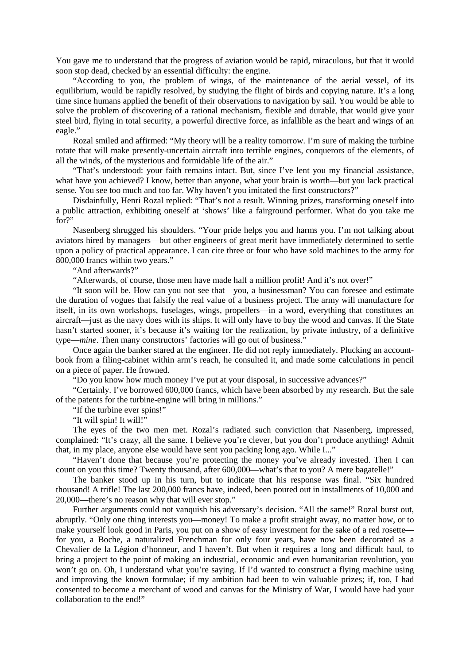You gave me to understand that the progress of aviation would be rapid, miraculous, but that it would soon stop dead, checked by an essential difficulty: the engine.

"According to you, the problem of wings, of the maintenance of the aerial vessel, of its equilibrium, would be rapidly resolved, by studying the flight of birds and copying nature. It's a long time since humans applied the benefit of their observations to navigation by sail. You would be able to solve the problem of discovering of a rational mechanism, flexible and durable, that would give your steel bird, flying in total security, a powerful directive force, as infallible as the heart and wings of an eagle."

Rozal smiled and affirmed: "My theory will be a reality tomorrow. I'm sure of making the turbine rotate that will make presently-uncertain aircraft into terrible engines, conquerors of the elements, of all the winds, of the mysterious and formidable life of the air."

"That's understood: your faith remains intact. But, since I've lent you my financial assistance, what have you achieved? I know, better than anyone, what your brain is worth—but you lack practical sense. You see too much and too far. Why haven't you imitated the first constructors?"

Disdainfully, Henri Rozal replied: "That's not a result. Winning prizes, transforming oneself into a public attraction, exhibiting oneself at 'shows' like a fairground performer. What do you take me for?"

Nasenberg shrugged his shoulders. "Your pride helps you and harms you. I'm not talking about aviators hired by managers—but other engineers of great merit have immediately determined to settle upon a policy of practical appearance. I can cite three or four who have sold machines to the army for 800,000 francs within two years."

"And afterwards?"

"Afterwards, of course, those men have made half a million profit! And it's not over!"

"It soon will be. How can you not see that—you, a businessman? You can foresee and estimate the duration of vogues that falsify the real value of a business project. The army will manufacture for itself, in its own workshops, fuselages, wings, propellers—in a word, everything that constitutes an aircraft—just as the navy does with its ships. It will only have to buy the wood and canvas. If the State hasn't started sooner, it's because it's waiting for the realization, by private industry, of a definitive type—*mine*. Then many constructors' factories will go out of business."

Once again the banker stared at the engineer. He did not reply immediately. Plucking an accountbook from a filing-cabinet within arm's reach, he consulted it, and made some calculations in pencil on a piece of paper. He frowned.

"Do you know how much money I've put at your disposal, in successive advances?"

"Certainly. I've borrowed 600,000 francs, which have been absorbed by my research. But the sale of the patents for the turbine-engine will bring in millions."

"If the turbine ever spins!"

"It will spin! It will!"

The eyes of the two men met. Rozal's radiated such conviction that Nasenberg, impressed, complained: "It's crazy, all the same. I believe you're clever, but you don't produce anything! Admit that, in my place, anyone else would have sent you packing long ago. While I..."

"Haven't done that because you're protecting the money you've already invested. Then I can count on you this time? Twenty thousand, after 600,000—what's that to you? A mere bagatelle!"

The banker stood up in his turn, but to indicate that his response was final. "Six hundred thousand! A trifle! The last 200,000 francs have, indeed, been poured out in installments of 10,000 and 20,000—there's no reason why that will ever stop."

Further arguments could not vanquish his adversary's decision. "All the same!" Rozal burst out, abruptly. "Only one thing interests you—money! To make a profit straight away, no matter how, or to make yourself look good in Paris, you put on a show of easy investment for the sake of a red rosette for you, a Boche, a naturalized Frenchman for only four years, have now been decorated as a Chevalier de la Légion d'honneur, and I haven't. But when it requires a long and difficult haul, to bring a project to the point of making an industrial, economic and even humanitarian revolution, you won't go on. Oh, I understand what you're saying. If I'd wanted to construct a flying machine using and improving the known formulae; if my ambition had been to win valuable prizes; if, too, I had consented to become a merchant of wood and canvas for the Ministry of War, I would have had your collaboration to the end!"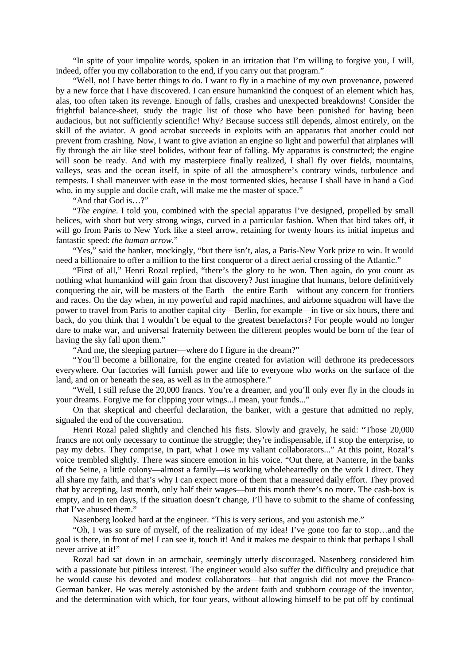"In spite of your impolite words, spoken in an irritation that I'm willing to forgive you, I will, indeed, offer you my collaboration to the end, if you carry out that program."

"Well, no! I have better things to do. I want to fly in a machine of my own provenance, powered by a new force that I have discovered. I can ensure humankind the conquest of an element which has, alas, too often taken its revenge. Enough of falls, crashes and unexpected breakdowns! Consider the frightful balance-sheet, study the tragic list of those who have been punished for having been audacious, but not sufficiently scientific! Why? Because success still depends, almost entirely, on the skill of the aviator. A good acrobat succeeds in exploits with an apparatus that another could not prevent from crashing. Now, I want to give aviation an engine so light and powerful that airplanes will fly through the air like steel bolides, without fear of falling. My apparatus is constructed; the engine will soon be ready. And with my masterpiece finally realized, I shall fly over fields, mountains, valleys, seas and the ocean itself, in spite of all the atmosphere's contrary winds, turbulence and tempests. I shall maneuver with ease in the most tormented skies, because I shall have in hand a God who, in my supple and docile craft, will make me the master of space."

"And that God is…?"

"*The engine*. I told you, combined with the special apparatus I've designed, propelled by small helices, with short but very strong wings, curved in a particular fashion. When that bird takes off, it will go from Paris to New York like a steel arrow, retaining for twenty hours its initial impetus and fantastic speed: *the human arrow*."

"Yes," said the banker, mockingly, "but there isn't, alas, a Paris-New York prize to win. It would need a billionaire to offer a million to the first conqueror of a direct aerial crossing of the Atlantic."

"First of all," Henri Rozal replied, "there's the glory to be won. Then again, do you count as nothing what humankind will gain from that discovery? Just imagine that humans, before definitively conquering the air, will be masters of the Earth—the entire Earth—without any concern for frontiers and races. On the day when, in my powerful and rapid machines, and airborne squadron will have the power to travel from Paris to another capital city—Berlin, for example—in five or six hours, there and back, do you think that I wouldn't be equal to the greatest benefactors? For people would no longer dare to make war, and universal fraternity between the different peoples would be born of the fear of having the sky fall upon them."

"And me, the sleeping partner—where do I figure in the dream?"

"You'll become a billionaire, for the engine created for aviation will dethrone its predecessors everywhere. Our factories will furnish power and life to everyone who works on the surface of the land, and on or beneath the sea, as well as in the atmosphere."

"Well, I still refuse the 20,000 francs. You're a dreamer, and you'll only ever fly in the clouds in your dreams. Forgive me for clipping your wings...I mean, your funds..."

On that skeptical and cheerful declaration, the banker, with a gesture that admitted no reply, signaled the end of the conversation.

Henri Rozal paled slightly and clenched his fists. Slowly and gravely, he said: "Those 20,000 francs are not only necessary to continue the struggle; they're indispensable, if I stop the enterprise, to pay my debts. They comprise, in part, what I owe my valiant collaborators..." At this point, Rozal's voice trembled slightly. There was sincere emotion in his voice. "Out there, at Nanterre, in the banks of the Seine, a little colony—almost a family—is working wholeheartedly on the work I direct. They all share my faith, and that's why I can expect more of them that a measured daily effort. They proved that by accepting, last month, only half their wages—but this month there's no more. The cash-box is empty, and in ten days, if the situation doesn't change, I'll have to submit to the shame of confessing that I've abused them."

Nasenberg looked hard at the engineer. "This is very serious, and you astonish me."

"Oh, I was so sure of myself, of the realization of my idea! I've gone too far to stop…and the goal is there, in front of me! I can see it, touch it! And it makes me despair to think that perhaps I shall never arrive at it!"

Rozal had sat down in an armchair, seemingly utterly discouraged. Nasenberg considered him with a passionate but pitiless interest. The engineer would also suffer the difficulty and prejudice that he would cause his devoted and modest collaborators—but that anguish did not move the Franco-German banker. He was merely astonished by the ardent faith and stubborn courage of the inventor, and the determination with which, for four years, without allowing himself to be put off by continual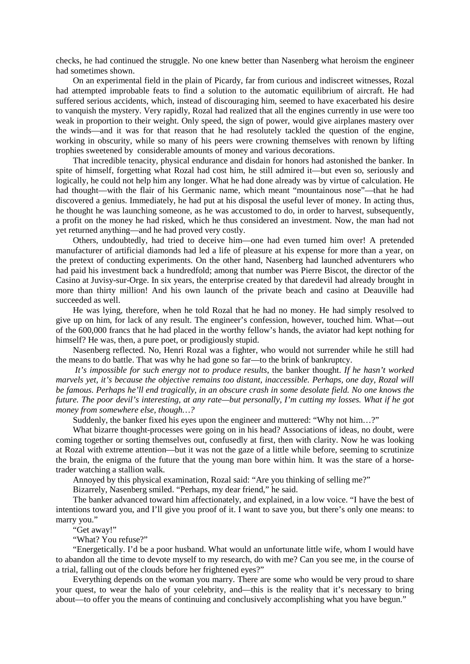checks, he had continued the struggle. No one knew better than Nasenberg what heroism the engineer had sometimes shown.

On an experimental field in the plain of Picardy, far from curious and indiscreet witnesses, Rozal had attempted improbable feats to find a solution to the automatic equilibrium of aircraft. He had suffered serious accidents, which, instead of discouraging him, seemed to have exacerbated his desire to vanquish the mystery. Very rapidly, Rozal had realized that all the engines currently in use were too weak in proportion to their weight. Only speed, the sign of power, would give airplanes mastery over the winds—and it was for that reason that he had resolutely tackled the question of the engine, working in obscurity, while so many of his peers were crowning themselves with renown by lifting trophies sweetened by considerable amounts of money and various decorations.

That incredible tenacity, physical endurance and disdain for honors had astonished the banker. In spite of himself, forgetting what Rozal had cost him, he still admired it—but even so, seriously and logically, he could not help him any longer. What he had done already was by virtue of calculation. He had thought—with the flair of his Germanic name, which meant "mountainous nose"—that he had discovered a genius. Immediately, he had put at his disposal the useful lever of money. In acting thus, he thought he was launching someone, as he was accustomed to do, in order to harvest, subsequently, a profit on the money he had risked, which he thus considered an investment. Now, the man had not yet returned anything—and he had proved very costly.

Others, undoubtedly, had tried to deceive him—one had even turned him over! A pretended manufacturer of artificial diamonds had led a life of pleasure at his expense for more than a year, on the pretext of conducting experiments. On the other hand, Nasenberg had launched adventurers who had paid his investment back a hundredfold; among that number was Pierre Biscot, the director of the Casino at Juvisy-sur-Orge. In six years, the enterprise created by that daredevil had already brought in more than thirty million! And his own launch of the private beach and casino at Deauville had succeeded as well.

He was lying, therefore, when he told Rozal that he had no money. He had simply resolved to give up on him, for lack of any result. The engineer's confession, however, touched him. What—out of the 600,000 francs that he had placed in the worthy fellow's hands, the aviator had kept nothing for himself? He was, then, a pure poet, or prodigiously stupid.

Nasenberg reflected. No, Henri Rozal was a fighter, who would not surrender while he still had the means to do battle. That was why he had gone so far—to the brink of bankruptcy.

*It's impossible for such energy not to produce results*, the banker thought. *If he hasn't worked marvels yet, it's because the objective remains too distant, inaccessible. Perhaps, one day, Rozal will be famous. Perhaps he'll end tragically, in an obscure crash in some desolate field. No one knows the future. The poor devil's interesting, at any rate—but personally, I'm cutting my losses. What if he got money from somewhere else, though…?*

Suddenly, the banker fixed his eyes upon the engineer and muttered: "Why not him…?"

What bizarre thought-processes were going on in his head? Associations of ideas, no doubt, were coming together or sorting themselves out, confusedly at first, then with clarity. Now he was looking at Rozal with extreme attention—but it was not the gaze of a little while before, seeming to scrutinize the brain, the enigma of the future that the young man bore within him. It was the stare of a horsetrader watching a stallion walk.

Annoyed by this physical examination, Rozal said: "Are you thinking of selling me?"

Bizarrely, Nasenberg smiled. "Perhaps, my dear friend," he said.

The banker advanced toward him affectionately, and explained, in a low voice. "I have the best of intentions toward you, and I'll give you proof of it. I want to save you, but there's only one means: to marry you."

"Get away!"

"What? You refuse?"

"Energetically. I'd be a poor husband. What would an unfortunate little wife, whom I would have to abandon all the time to devote myself to my research, do with me? Can you see me, in the course of a trial, falling out of the clouds before her frightened eyes?"

Everything depends on the woman you marry. There are some who would be very proud to share your quest, to wear the halo of your celebrity, and—this is the reality that it's necessary to bring about—to offer you the means of continuing and conclusively accomplishing what you have begun."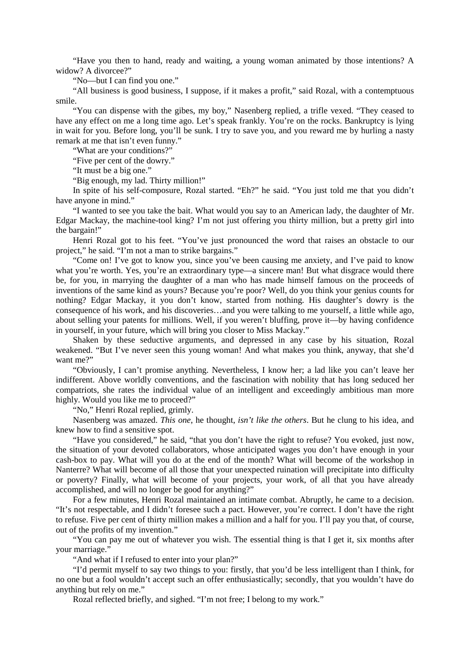"Have you then to hand, ready and waiting, a young woman animated by those intentions? A widow? A divorcee?"

"No—but I can find you one."

"All business is good business, I suppose, if it makes a profit," said Rozal, with a contemptuous smile.

"You can dispense with the gibes, my boy," Nasenberg replied, a trifle vexed. "They ceased to have any effect on me a long time ago. Let's speak frankly. You're on the rocks. Bankruptcy is lying in wait for you. Before long, you'll be sunk. I try to save you, and you reward me by hurling a nasty remark at me that isn't even funny."

"What are your conditions?"

"Five per cent of the dowry."

"It must be a big one."

"Big enough, my lad. Thirty million!"

In spite of his self-composure, Rozal started. "Eh?" he said. "You just told me that you didn't have anyone in mind."

"I wanted to see you take the bait. What would you say to an American lady, the daughter of Mr. Edgar Mackay, the machine-tool king? I'm not just offering you thirty million, but a pretty girl into the bargain!"

Henri Rozal got to his feet. "You've just pronounced the word that raises an obstacle to our project," he said. "I'm not a man to strike bargains."

"Come on! I've got to know you, since you've been causing me anxiety, and I've paid to know what you're worth. Yes, you're an extraordinary type—a sincere man! But what disgrace would there be, for you, in marrying the daughter of a man who has made himself famous on the proceeds of inventions of the same kind as yours? Because you're poor? Well, do you think your genius counts for nothing? Edgar Mackay, it you don't know, started from nothing. His daughter's dowry is the consequence of his work, and his discoveries…and you were talking to me yourself, a little while ago, about selling your patents for millions. Well, if you weren't bluffing, prove it—by having confidence in yourself, in your future, which will bring you closer to Miss Mackay."

Shaken by these seductive arguments, and depressed in any case by his situation, Rozal weakened. "But I've never seen this young woman! And what makes you think, anyway, that she'd want me?"

"Obviously, I can't promise anything. Nevertheless, I know her; a lad like you can't leave her indifferent. Above worldly conventions, and the fascination with nobility that has long seduced her compatriots, she rates the individual value of an intelligent and exceedingly ambitious man more highly. Would you like me to proceed?"

"No," Henri Rozal replied, grimly.

Nasenberg was amazed. *This one*, he thought, *isn't like the others*. But he clung to his idea, and knew how to find a sensitive spot.

"Have you considered," he said, "that you don't have the right to refuse? You evoked, just now, the situation of your devoted collaborators, whose anticipated wages you don't have enough in your cash-box to pay. What will you do at the end of the month? What will become of the workshop in Nanterre? What will become of all those that your unexpected ruination will precipitate into difficulty or poverty? Finally, what will become of your projects, your work, of all that you have already accomplished, and will no longer be good for anything?"

For a few minutes, Henri Rozal maintained an intimate combat. Abruptly, he came to a decision. "It's not respectable, and I didn't foresee such a pact. However, you're correct. I don't have the right to refuse. Five per cent of thirty million makes a million and a half for you. I'll pay you that, of course, out of the profits of my invention."

"You can pay me out of whatever you wish. The essential thing is that I get it, six months after your marriage."

"And what if I refused to enter into your plan?"

"I'd permit myself to say two things to you: firstly, that you'd be less intelligent than I think, for no one but a fool wouldn't accept such an offer enthusiastically; secondly, that you wouldn't have do anything but rely on me."

Rozal reflected briefly, and sighed. "I'm not free; I belong to my work."